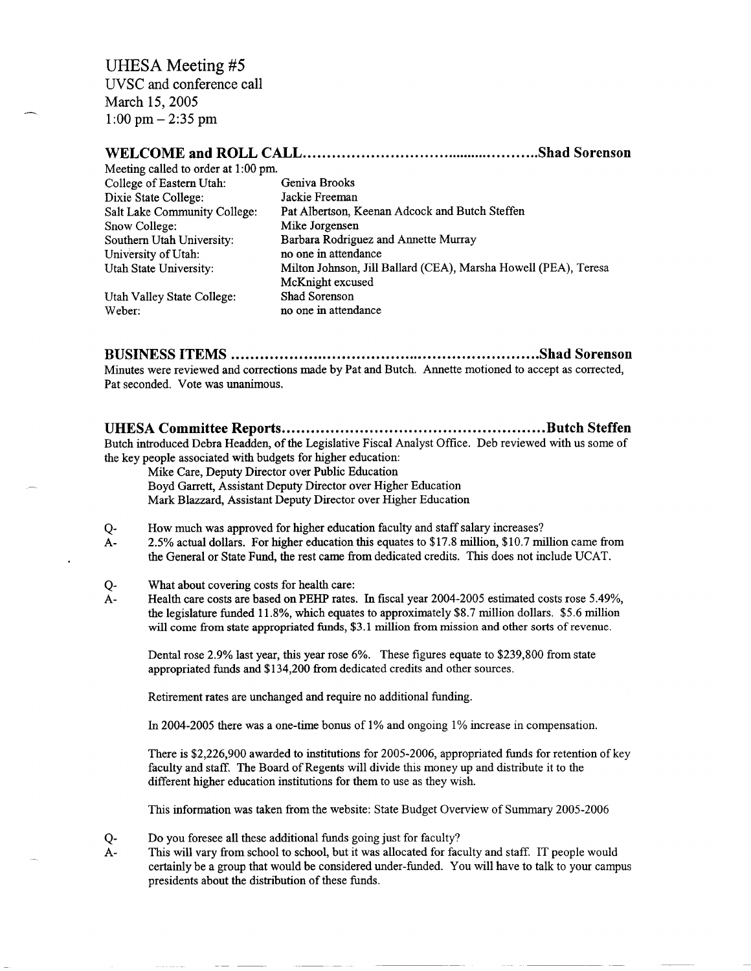### **WELCOME and ROLL CALL Shad Sorenson**

| Meeting called to order at 1:00 pm. |                                                                 |
|-------------------------------------|-----------------------------------------------------------------|
| College of Eastern Utah:            | Geniva Brooks                                                   |
| Dixie State College:                | Jackie Freeman                                                  |
| Salt Lake Community College:        | Pat Albertson, Keenan Adcock and Butch Steffen                  |
| Snow College:                       | Mike Jorgensen                                                  |
| Southern Utah University:           | Barbara Rodriguez and Annette Murray                            |
| University of Utah:                 | no one in attendance                                            |
| Utah State University:              | Milton Johnson, Jill Ballard (CEA), Marsha Howell (PEA), Teresa |
|                                     | McKnight excused                                                |
| Utah Valley State College:          | Shad Sorenson                                                   |
| Weber:                              | no one in attendance                                            |

**BUSINESS ITEMS Shad Sorenson**

Minutes were reviewed and corrections made by Pat and Butch. Annette motioned to accept as corrected, Pat seconded. Vote was unanimous.

**UHESA Committee Reports Butch Steffen**

Butch introduced Debra Headden, of the Legislative Fiscal Analyst Office. Deb reviewed with us some of the key people associated with budgets for higher education:

Mike Care, Deputy Director over Public Education

Boyd Garrett, Assistant Deputy Director over Higher Education Mark Blazzard, Assistant Deputy Director over Higher Education

- Q- How much was approved for higher education faculty and staff salary increases?
- A- 2.5% actual dollars. For higher education this equates to \$17.8 million, \$10.7 million came from the General or State Fund, the rest came from dedicated credits. This does not include UCAT.
- Q- What about covering costs for health care:
- A- Health care costs are based on PEHP rates. In fiscal year 2004-2005 estimated costs rose 5.49%, the legislature funded 11.8%, which equates to approximately \$8.7 million dollars. \$5.6 million will come from state appropriated funds, \$3.1 million from mission and other sorts of revenue.

Dental rose 2.9% last year, this year rose 6%. These figures equate to \$239,800 from state appropriated funds and \$134,200 from dedicated credits and other sources.

Retirement rates are unchanged and require no additional funding.

In 2004-2005 there was a one-time bonus of 1% and ongoing 1% increase in compensation.

There is \$2,226,900 awarded to institutions for 2005-2006, appropriated funds for retention of key faculty and staff. The Board of Regents will divide this money up and distribute it to the different higher education institutions for them to use as they wish.

This information was taken from the website: State Budget Overview of Summary 2005-2006

- Q- Do you foresee all these additional funds going just for faculty?
- A- This will vary from school to school, but it was allocated for faculty and staff. IT people would certainly be a group that would be considered under-funded. You will have to talk to your campus presidents about the distribution of these funds.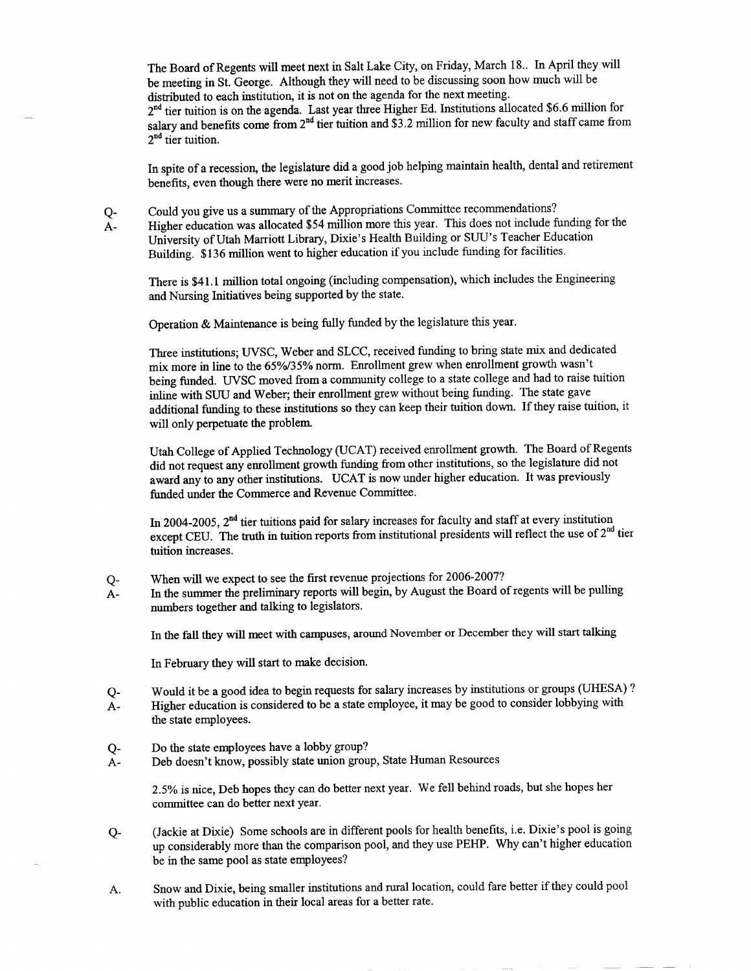The Board of Regents will meet next in Salt Lake City, on Friday, March 18.. In April they will be meeting in St. George. Although they will need to be discussing soon how much will be distributed to each institution, it is not on the agenda for the next meeting. 2<sup>nd</sup> tier tuition is on the agenda. Last year three Higher Ed. Institutions allocated \$6.6 million for salary and benefits come from  $2<sup>nd</sup>$  tier tuition and \$3.2 million for new faculty and staff came from 2<sup>nd</sup> tier tuition.

In spite of a recession, the legislature did a good job helping maintain health, dental and retirement benefits, even though there were no merit increases.

Q- Could you give us a summary of the Appropriations Committee recommendations? A- Higher education was allocated \$54 million more this year. This does not include funding for the University of Utah Marriott Library, Dixie's Health Building or SUU's Teacher Education Building. \$136 million went to higher education if you include funding for facilities.

There is \$41.1 million total ongoing (including compensation), which includes the Engineering and Nursing Initiatives being supported by the state.

Operation & Maintenance is being fully funded by the legislature this year.

Three institutions; UVSC, Weber and SLCC, received funding to bring state mix and dedicated mix more in line to the 65%/35% norm. Enrollment grew when enrollment growth wasn't being funded. UVSC moved from a community college to a state college and had to raise tuition inline with SUU and Weber; their enrollment grew without being funding. The state gave additional funding to these institutions so they can keep their tuition down. If they raise tuition, it will only perpetuate the problem.

Utah College of Applied Technology (UCAT) received enrollment growth. The Board of Regents did not request any enrollment growth funding from other institutions, so the legislature did not award any to any other institutions. UCAT is now under higher education. It was previously funded under the Commerce and Revenue Committee.

In 2004-2005,  $2<sup>nd</sup>$  tier tuitions paid for salary increases for faculty and staff at every institution except CEU. The truth in tuition reports from institutional presidents will reflect the use of  $2<sup>nd</sup>$  tier tuition increases.

- Q- When will we expect to see the first revenue projections for 2006-2007?
- A- In the summer the preliminary reports will begin, by August the Board of regents will be pulling numbers together and talking to legislators.

In the fall they will meet with campuses, around November or December they will start talking

In February they will start to make decision.

- Q- Would it be a good idea to begin requests for salary increases by institutions or groups (UHESA) ?
- A- Higher education is considered to be a state employee, it may be good to consider lobbying with the state employees.
- Q- Do the state employees have a lobby group?
- A- Deb doesn't know, possibly state union group, State Human Resources

2.5% is nice, Deb hopes they can do better next year. We fell behind roads, but she hopes her committee can do better next year.

- Q- (Jackie at Dixie) Some schools are in different pools for health benefits, i.e. Dixie's pool is going up considerably more than the comparison pool, and they use PEHP. Why can't higher education be in the same pool as state employees?
- A. Snow and Dixie, being smaller institutions and rural location, could fare better if they could pool with public education in their local areas for a better rate.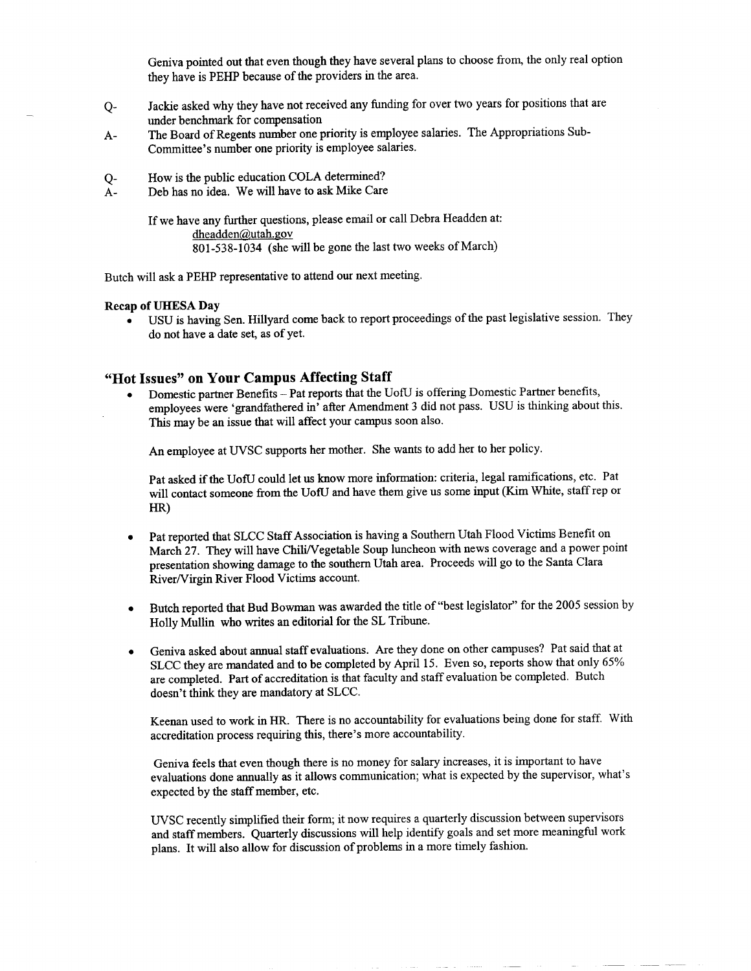Geniva pointed out that even though they have several plans to choose from, the only real option they have is PEHP because of the providers in the area.

- Q- Jackie asked why they have not received any funding for over two years for positions that are under benchmark for compensation
- A- The Board of Regents number one priority is employee salaries. The Appropriations Sub-Committee's number one priority is employee salaries.
- Q- How is the public education COLA determined?
- A- Deb has no idea. We will have to ask Mike Care

If we have any further questions, please email or call Debra Headden at: dheadden@utah.gov 801-538-1034 (she will be gone the last two weeks of March)

Butch will ask a PEHP representative to attend our next meeting.

#### **Recap of UHESA Day**

• USU is having Sen. Hillyard come back to report proceedings of the past legislative session. They do not have a date set, as of yet.

#### **"Hot Issues" on Your Campus Affecting Staff**

• Domestic partner Benefits - Pat reports that the UofU is offering Domestic Partner benefits, employees were 'grandfathered in' after Amendment 3 did not pass. USU is thinking about this. This may be an issue that will affect your campus soon also.

An employee at UVSC supports her mother. She wants to add her to her policy.

Pat asked if the UofU could let us know more information: criteria, legal ramifications, etc. Pat will contact someone from the UofU and have them give us some input (Kim White, staff rep or HR)

- Pat reported that SLCC Staff Association is having a Southern Utah Flood Victims Benefit on March 27. They will have Chili/Vegetable Soup luncheon with news coverage and a power point presentation showing damage to the southern Utah area. Proceeds will go to the Santa Clara River/Virgin River Flood Victims account.
- Butch reported that Bud Bowman was awarded the title of "best legislator" for the 2005 session by Holly Mullin who writes an editorial for the SL Tribune.
- Geniva asked about annual staff evaluations. Are they done on other campuses? Pat said that at SLCC they are mandated and to be completed by April 15. Even so, reports show that only 65% are completed. Part of accreditation is that faculty and staff evaluation be completed. Butch doesn't think they are mandatory at SLCC.

Keenan used to work in HR. There is no accountability for evaluations being done for staff. With accreditation process requiring this, there's more accountability.

Geniva feels that even though there is no money for salary increases, it is important to have evaluations done annually as it allows communication; what is expected by the supervisor, what's expected by the staff member, etc.

UVSC recently simplified their form; it now requires a quarterly discussion between supervisors and staff members. Quarterly discussions will help identify goals and set more meaningful work plans. It will also allow for discussion of problems in a more timely fashion.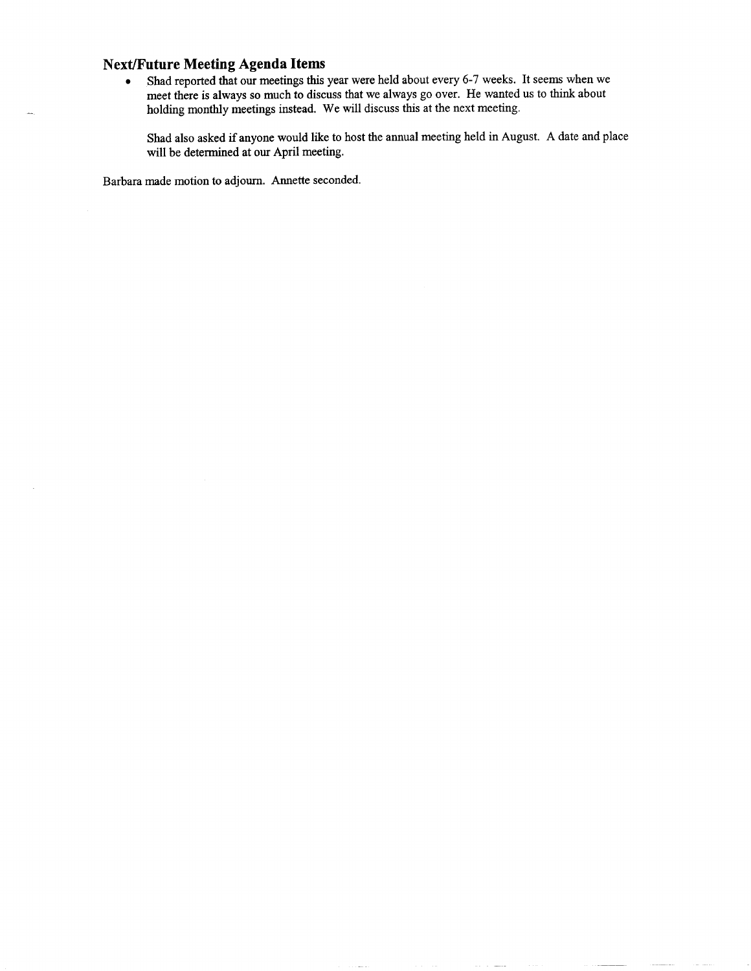### **Next/Future Meeting Agenda Items**

• Shad reported that our meetings this year were held about every 6-7 weeks. It seems when we meet there is always so much to discuss that we always go over. He wanted us to think about holding monthly meetings instead. We will discuss this at the next meeting.

Shad also asked if anyone would like to host the annual meeting held in August. A date and place will be determined at our April meeting.

Barbara made motion to adjourn. Annette seconded.